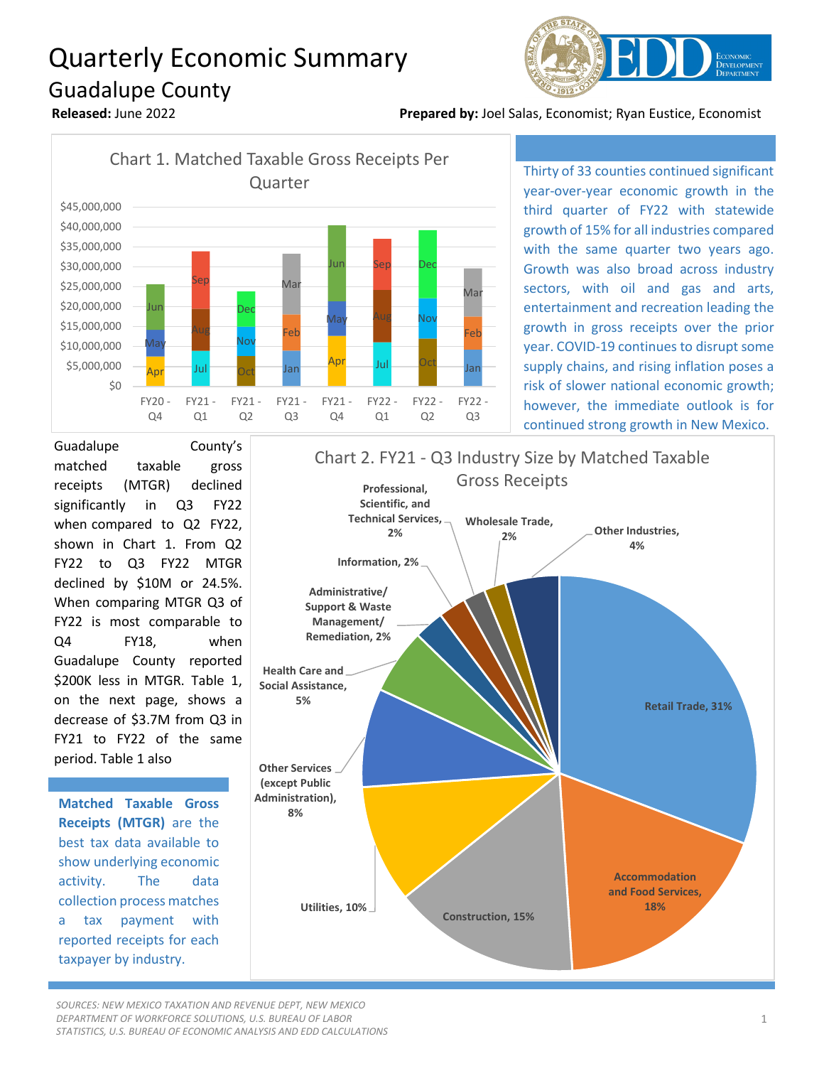## Quarterly Economic Summary Guadalupe County



**Released:** June 2022 **Prepared by:** Joel Salas, Economist; Ryan Eustice, Economist



Thirty of 33 counties continued significant year-over-year economic growth in the third quarter of FY22 with statewide growth of 15% for all industries compared with the same quarter two years ago. Growth was also broad across industry sectors, with oil and gas and arts, entertainment and recreation leading the growth in gross receipts over the prior year. COVID-19 continues to disrupt some supply chains, and rising inflation poses a risk of slower national economic growth; however, the immediate outlook is for continued strong growth in New Mexico.

Guadalupe County's matched taxable gross receipts (MTGR) declined significantly in Q3 FY22 when compared to Q2 FY22, shown in Chart 1. From Q2 FY22 to Q3 FY22 MTGR declined by \$10M or 24.5%. When comparing MTGR Q3 of FY22 is most comparable to Q4 FY18, when Guadalupe County reported \$200K less in MTGR. Table 1, on the next page, shows a decrease of \$3.7M from Q3 in FY21 to FY22 of the same period. Table 1 also

**Matched Taxable Gross Receipts (MTGR)** are the best tax data available to show underlying economic activity. The data collection process matches a tax payment with reported receipts for each taxpayer by industry.



*SOURCES: NEW MEXICO TAXATION AND REVENUE DEPT, NEW MEXICO DEPARTMENT OF WORKFORCE SOLUTIONS, U.S. BUREAU OF LABOR STATISTICS, U.S. BUREAU OF ECONOMIC ANALYSIS AND EDD CALCULATIONS*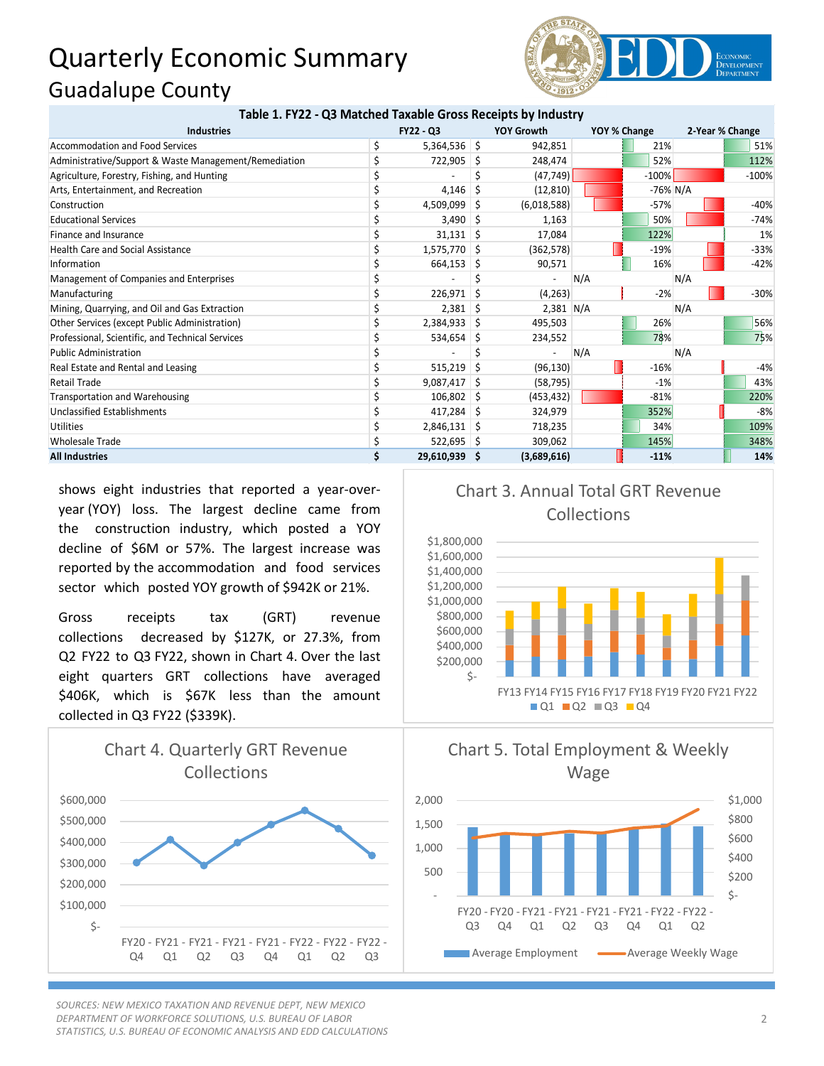## Quarterly Economic Summary Guadalupe County



| Table 1. FY22 - Q3 Matched Taxable Gross Receipts by Industry |   |                |                   |             |     |              |     |                 |  |
|---------------------------------------------------------------|---|----------------|-------------------|-------------|-----|--------------|-----|-----------------|--|
| <b>Industries</b>                                             |   | FY22 - Q3      | <b>YOY Growth</b> |             |     | YOY % Change |     | 2-Year % Change |  |
| <b>Accommodation and Food Services</b>                        | Ś | $5,364,536$ \$ |                   | 942,851     |     | 21%          |     | 51%             |  |
| Administrative/Support & Waste Management/Remediation         |   | 722,905        | Ŝ.                | 248,474     |     | 52%          |     | 112%            |  |
| Agriculture, Forestry, Fishing, and Hunting                   |   |                |                   | (47, 749)   |     | $-100%$      |     | $-100%$         |  |
| Arts, Entertainment, and Recreation                           |   | 4,146          |                   | (12, 810)   |     | $-76\%$ N/A  |     |                 |  |
| Construction                                                  |   | 4,509,099      | -S                | (6,018,588) |     | $-57%$       |     | $-40%$          |  |
| <b>Educational Services</b>                                   |   | 3,490          |                   | 1,163       |     | 50%          |     | $-74%$          |  |
| Finance and Insurance                                         |   | $31,131$ \$    |                   | 17.084      |     | 122%         |     | 1%              |  |
| <b>Health Care and Social Assistance</b>                      |   | $1,575,770$ \$ |                   | (362, 578)  |     | $-19%$       |     | $-33%$          |  |
| Information                                                   |   | 664,153        | -S                | 90,571      |     | 16%          |     | $-42%$          |  |
| Management of Companies and Enterprises                       |   |                |                   |             | N/A |              | N/A |                 |  |
| Manufacturing                                                 |   | 226,971        | Ŝ                 | (4,263)     |     | $-2%$        |     | $-30%$          |  |
| Mining, Quarrying, and Oil and Gas Extraction                 |   | 2,381          | -S                | $2,381$ N/A |     |              | N/A |                 |  |
| Other Services (except Public Administration)                 |   | 2,384,933      | -S                | 495,503     |     | 26%          |     | 56%             |  |
| Professional, Scientific, and Technical Services              |   | 534,654        | -S                | 234,552     |     | 78%          |     | 75%             |  |
| <b>Public Administration</b>                                  |   |                |                   |             | N/A |              | N/A |                 |  |
| Real Estate and Rental and Leasing                            |   | 515,219        | S                 | (96, 130)   |     | $-16%$       |     | $-4%$           |  |
| <b>Retail Trade</b>                                           |   | $9,087,417$ \$ |                   | (58, 795)   |     | $-1%$        |     | 43%             |  |
| Transportation and Warehousing                                |   | 106,802        | S                 | (453, 432)  |     | $-81%$       |     | 220%            |  |
| Unclassified Establishments                                   |   | $417,284$ \$   |                   | 324,979     |     | 352%         |     | $-8%$           |  |
| <b>Utilities</b>                                              |   | 2,846,131      | -S                | 718,235     |     | 34%          |     | 109%            |  |
| <b>Wholesale Trade</b>                                        |   | 522,695 \$     |                   | 309,062     |     | 145%         |     | 348%            |  |
| <b>All Industries</b>                                         |   | 29,610,939     | -S                | (3,689,616) |     | $-11%$       |     | 14%             |  |

shows eight industries that reported a year-overyear (YOY) loss. The largest decline came from the construction industry, which posted a YOY decline of \$6M or 57%. The largest increase was reported by the accommodation and food services sector which posted YOY growth of \$942K or 21%.

Gross receipts tax (GRT) revenue collections decreased by \$127K, or 27.3%, from Q2 FY22 to Q3 FY22, shown in Chart 4. Over the last eight quarters GRT collections have averaged \$406K, which is \$67K less than the amount collected in Q3 FY22 (\$339K).



*SOURCES: NEW MEXICO TAXATION AND REVENUE DEPT, NEW MEXICO DEPARTMENT OF WORKFORCE SOLUTIONS, U.S. BUREAU OF LABOR STATISTICS, U.S. BUREAU OF ECONOMIC ANALYSIS AND EDD CALCULATIONS*

## Chart 3. Annual Total GRT Revenue Collections